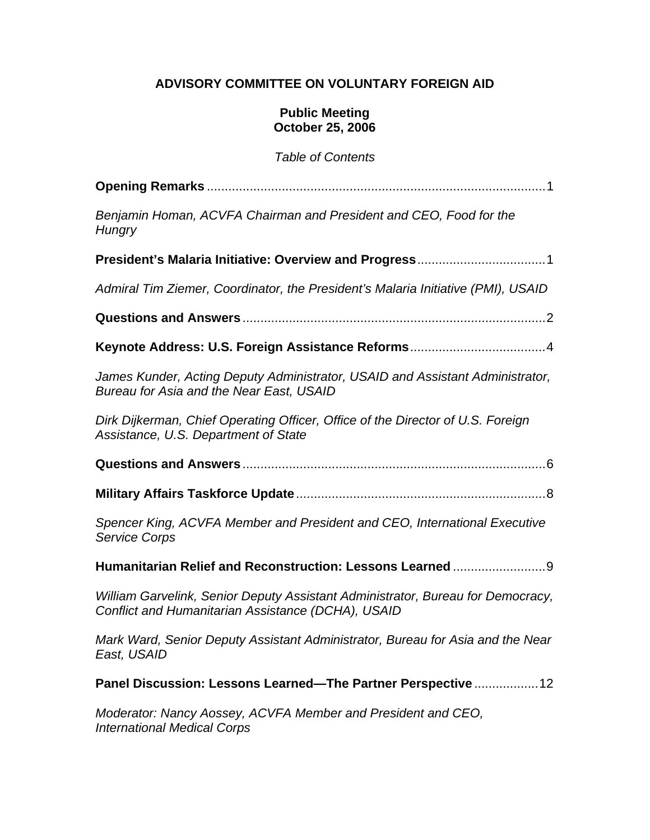# **ADVISORY COMMITTEE ON VOLUNTARY FOREIGN AID**

#### **Public Meeting October 25, 2006**

*Table of Contents* 

| Benjamin Homan, ACVFA Chairman and President and CEO, Food for the<br>Hungry                                                          |
|---------------------------------------------------------------------------------------------------------------------------------------|
|                                                                                                                                       |
| Admiral Tim Ziemer, Coordinator, the President's Malaria Initiative (PMI), USAID                                                      |
|                                                                                                                                       |
|                                                                                                                                       |
| James Kunder, Acting Deputy Administrator, USAID and Assistant Administrator,<br>Bureau for Asia and the Near East, USAID             |
| Dirk Dijkerman, Chief Operating Officer, Office of the Director of U.S. Foreign<br>Assistance, U.S. Department of State               |
|                                                                                                                                       |
|                                                                                                                                       |
| Spencer King, ACVFA Member and President and CEO, International Executive<br><b>Service Corps</b>                                     |
| Humanitarian Relief and Reconstruction: Lessons Learned9                                                                              |
| William Garvelink, Senior Deputy Assistant Administrator, Bureau for Democracy,<br>Conflict and Humanitarian Assistance (DCHA), USAID |
| Mark Ward, Senior Deputy Assistant Administrator, Bureau for Asia and the Near<br>East, USAID                                         |
| Panel Discussion: Lessons Learned-The Partner Perspective  12                                                                         |
| Moderator: Nancy Aossey, ACVFA Member and President and CEO,<br><b>International Medical Corps</b>                                    |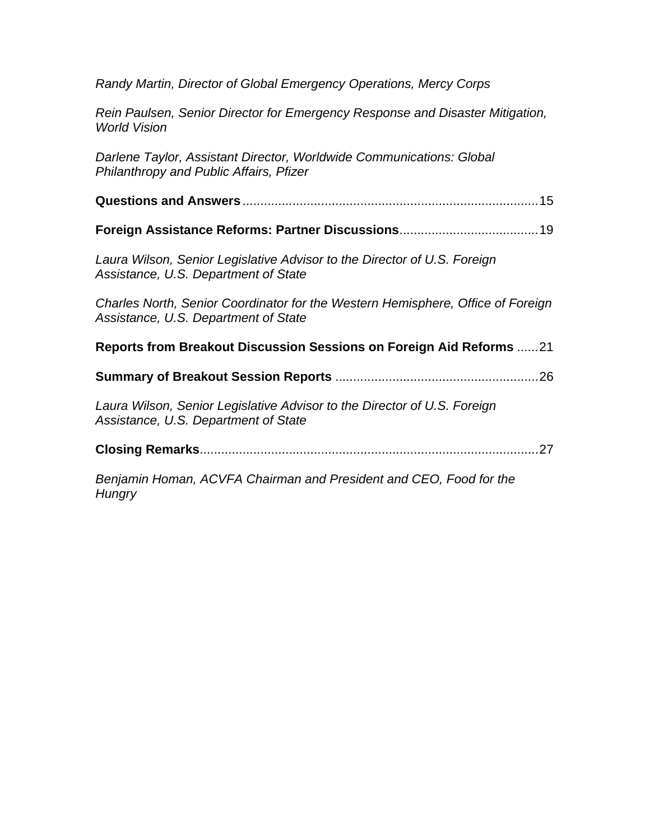*Randy Martin, Director of Global Emergency Operations, Mercy Corps* 

*Rein Paulsen, Senior Director for Emergency Response and Disaster Mitigation, World Vision* 

*Darlene Taylor, Assistant Director, Worldwide Communications: Global Philanthropy and Public Affairs, Pfizer*

- **Questions and Answers** ...................................................................................15
- **Foreign Assistance Reforms: Partner Discussions**.......................................19

*Laura Wilson, Senior Legislative Advisor to the Director of U.S. Foreign Assistance, U.S. Department of State* 

*Charles North, Senior Coordinator for the Western Hemisphere, Office of Foreign Assistance, U.S. Department of State* 

**Reports from Breakout Discussion Sessions on Foreign Aid Reforms** ......21

**Summary of Breakout Session Reports** .........................................................26

*Laura Wilson, Senior Legislative Advisor to the Director of U.S. Foreign Assistance, U.S. Department of State* 

**Closing Remarks**...............................................................................................27

*Benjamin Homan, ACVFA Chairman and President and CEO, Food for the Hungry*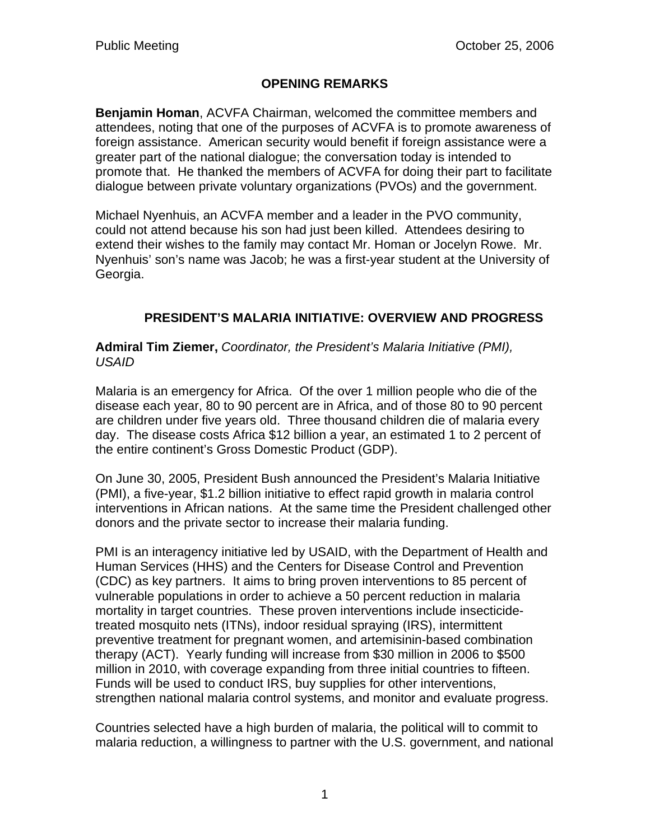# **OPENING REMARKS**

**Benjamin Homan**, ACVFA Chairman, welcomed the committee members and attendees, noting that one of the purposes of ACVFA is to promote awareness of foreign assistance. American security would benefit if foreign assistance were a greater part of the national dialogue; the conversation today is intended to promote that. He thanked the members of ACVFA for doing their part to facilitate dialogue between private voluntary organizations (PVOs) and the government.

Michael Nyenhuis, an ACVFA member and a leader in the PVO community, could not attend because his son had just been killed. Attendees desiring to extend their wishes to the family may contact Mr. Homan or Jocelyn Rowe. Mr. Nyenhuis' son's name was Jacob; he was a first-year student at the University of Georgia.

# **PRESIDENT'S MALARIA INITIATIVE: OVERVIEW AND PROGRESS**

**Admiral Tim Ziemer,** *Coordinator, the President's Malaria Initiative (PMI), USAID* 

Malaria is an emergency for Africa. Of the over 1 million people who die of the disease each year, 80 to 90 percent are in Africa, and of those 80 to 90 percent are children under five years old. Three thousand children die of malaria every day. The disease costs Africa \$12 billion a year, an estimated 1 to 2 percent of the entire continent's Gross Domestic Product (GDP).

On June 30, 2005, President Bush announced the President's Malaria Initiative (PMI), a five-year, \$1.2 billion initiative to effect rapid growth in malaria control interventions in African nations. At the same time the President challenged other donors and the private sector to increase their malaria funding.

PMI is an interagency initiative led by USAID, with the Department of Health and Human Services (HHS) and the Centers for Disease Control and Prevention (CDC) as key partners. It aims to bring proven interventions to 85 percent of vulnerable populations in order to achieve a 50 percent reduction in malaria mortality in target countries. These proven interventions include insecticidetreated mosquito nets (ITNs), indoor residual spraying (IRS), intermittent preventive treatment for pregnant women, and artemisinin-based combination therapy (ACT). Yearly funding will increase from \$30 million in 2006 to \$500 million in 2010, with coverage expanding from three initial countries to fifteen. Funds will be used to conduct IRS, buy supplies for other interventions, strengthen national malaria control systems, and monitor and evaluate progress.

Countries selected have a high burden of malaria, the political will to commit to malaria reduction, a willingness to partner with the U.S. government, and national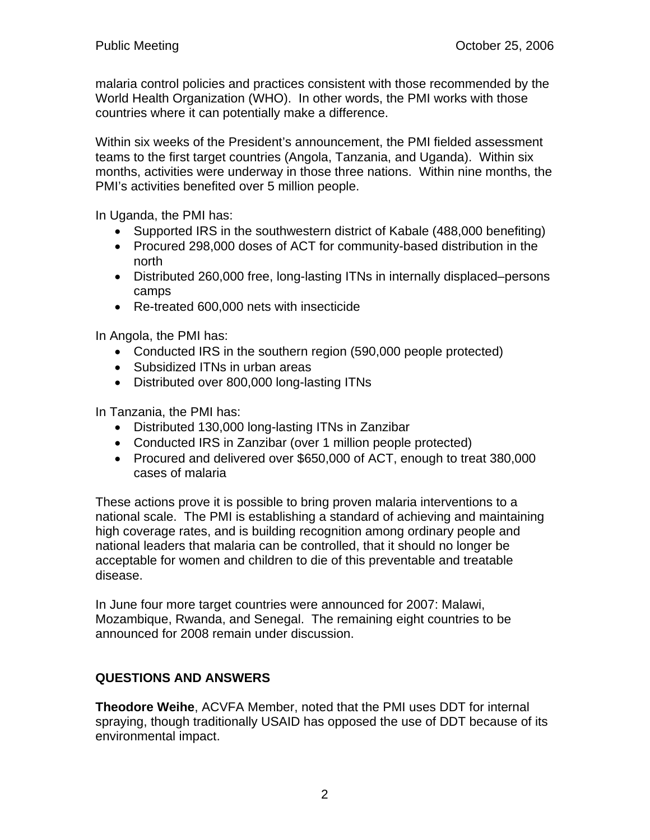malaria control policies and practices consistent with those recommended by the World Health Organization (WHO). In other words, the PMI works with those countries where it can potentially make a difference.

Within six weeks of the President's announcement, the PMI fielded assessment teams to the first target countries (Angola, Tanzania, and Uganda). Within six months, activities were underway in those three nations. Within nine months, the PMI's activities benefited over 5 million people.

In Uganda, the PMI has:

- Supported IRS in the southwestern district of Kabale (488,000 benefiting)
- Procured 298,000 doses of ACT for community-based distribution in the north
- Distributed 260,000 free, long-lasting ITNs in internally displaced–persons camps
- Re-treated 600,000 nets with insecticide

In Angola, the PMI has:

- Conducted IRS in the southern region (590,000 people protected)
- Subsidized ITNs in urban areas
- Distributed over 800,000 long-lasting ITNs

In Tanzania, the PMI has:

- Distributed 130,000 long-lasting ITNs in Zanzibar
- Conducted IRS in Zanzibar (over 1 million people protected)
- Procured and delivered over \$650,000 of ACT, enough to treat 380,000 cases of malaria

These actions prove it is possible to bring proven malaria interventions to a national scale. The PMI is establishing a standard of achieving and maintaining high coverage rates, and is building recognition among ordinary people and national leaders that malaria can be controlled, that it should no longer be acceptable for women and children to die of this preventable and treatable disease.

In June four more target countries were announced for 2007: Malawi, Mozambique, Rwanda, and Senegal. The remaining eight countries to be announced for 2008 remain under discussion.

# **QUESTIONS AND ANSWERS**

**Theodore Weihe**, ACVFA Member, noted that the PMI uses DDT for internal spraying, though traditionally USAID has opposed the use of DDT because of its environmental impact.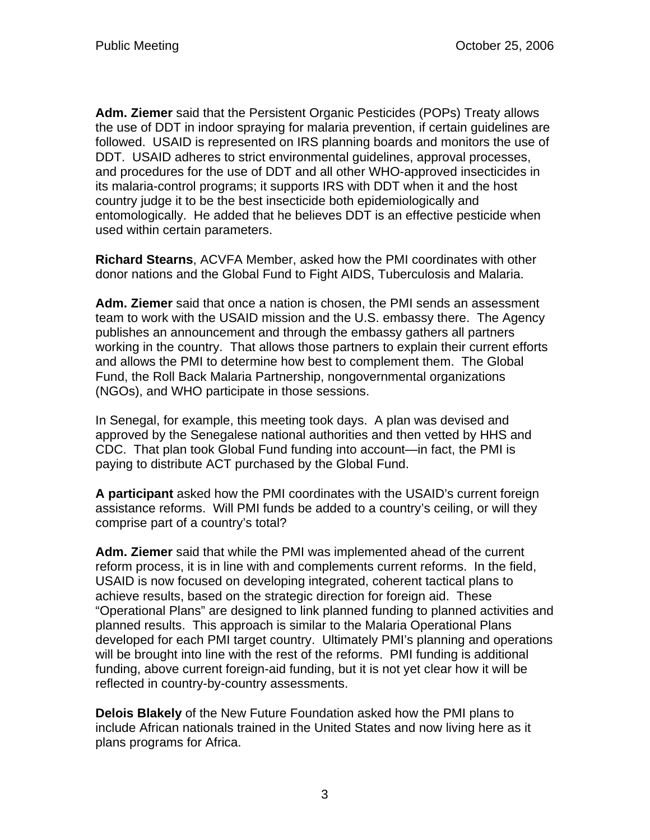**Adm. Ziemer** said that the Persistent Organic Pesticides (POPs) Treaty allows the use of DDT in indoor spraying for malaria prevention, if certain guidelines are followed. USAID is represented on IRS planning boards and monitors the use of DDT. USAID adheres to strict environmental guidelines, approval processes, and procedures for the use of DDT and all other WHO-approved insecticides in its malaria-control programs; it supports IRS with DDT when it and the host country judge it to be the best insecticide both epidemiologically and entomologically. He added that he believes DDT is an effective pesticide when used within certain parameters.

**Richard Stearns**, ACVFA Member, asked how the PMI coordinates with other donor nations and the Global Fund to Fight AIDS, Tuberculosis and Malaria.

**Adm. Ziemer** said that once a nation is chosen, the PMI sends an assessment team to work with the USAID mission and the U.S. embassy there. The Agency publishes an announcement and through the embassy gathers all partners working in the country. That allows those partners to explain their current efforts and allows the PMI to determine how best to complement them. The Global Fund, the Roll Back Malaria Partnership, nongovernmental organizations (NGOs), and WHO participate in those sessions.

In Senegal, for example, this meeting took days. A plan was devised and approved by the Senegalese national authorities and then vetted by HHS and CDC. That plan took Global Fund funding into account—in fact, the PMI is paying to distribute ACT purchased by the Global Fund.

**A participant** asked how the PMI coordinates with the USAID's current foreign assistance reforms. Will PMI funds be added to a country's ceiling, or will they comprise part of a country's total?

**Adm. Ziemer** said that while the PMI was implemented ahead of the current reform process, it is in line with and complements current reforms. In the field, USAID is now focused on developing integrated, coherent tactical plans to achieve results, based on the strategic direction for foreign aid. These "Operational Plans" are designed to link planned funding to planned activities and planned results. This approach is similar to the Malaria Operational Plans developed for each PMI target country. Ultimately PMI's planning and operations will be brought into line with the rest of the reforms. PMI funding is additional funding, above current foreign-aid funding, but it is not yet clear how it will be reflected in country-by-country assessments.

**Delois Blakely** of the New Future Foundation asked how the PMI plans to include African nationals trained in the United States and now living here as it plans programs for Africa.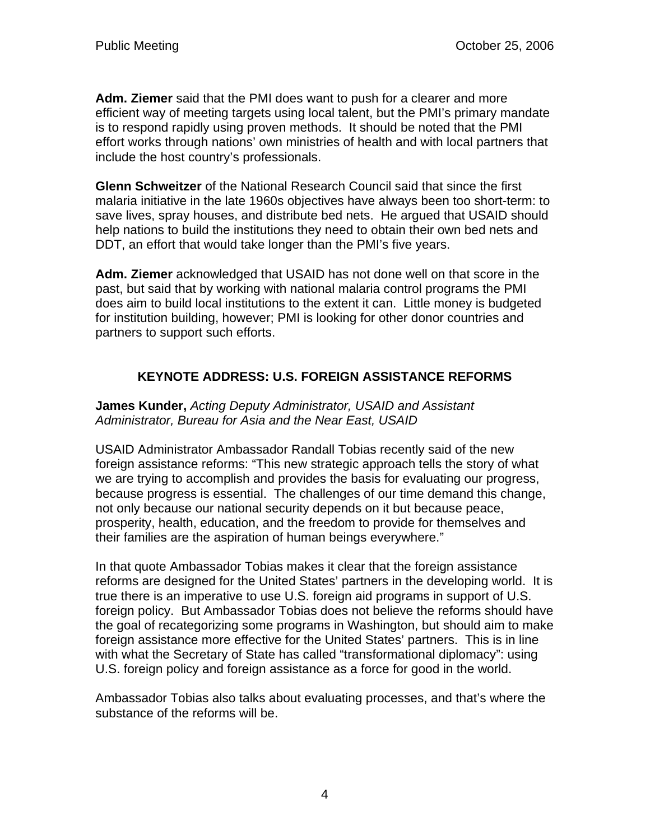**Adm. Ziemer** said that the PMI does want to push for a clearer and more efficient way of meeting targets using local talent, but the PMI's primary mandate is to respond rapidly using proven methods. It should be noted that the PMI effort works through nations' own ministries of health and with local partners that include the host country's professionals.

**Glenn Schweitzer** of the National Research Council said that since the first malaria initiative in the late 1960s objectives have always been too short-term: to save lives, spray houses, and distribute bed nets. He argued that USAID should help nations to build the institutions they need to obtain their own bed nets and DDT, an effort that would take longer than the PMI's five years.

**Adm. Ziemer** acknowledged that USAID has not done well on that score in the past, but said that by working with national malaria control programs the PMI does aim to build local institutions to the extent it can. Little money is budgeted for institution building, however; PMI is looking for other donor countries and partners to support such efforts.

# **KEYNOTE ADDRESS: U.S. FOREIGN ASSISTANCE REFORMS**

#### **James Kunder,** *Acting Deputy Administrator, USAID and Assistant Administrator, Bureau for Asia and the Near East, USAID*

USAID Administrator Ambassador Randall Tobias recently said of the new foreign assistance reforms: "This new strategic approach tells the story of what we are trying to accomplish and provides the basis for evaluating our progress, because progress is essential. The challenges of our time demand this change, not only because our national security depends on it but because peace, prosperity, health, education, and the freedom to provide for themselves and their families are the aspiration of human beings everywhere."

In that quote Ambassador Tobias makes it clear that the foreign assistance reforms are designed for the United States' partners in the developing world. It is true there is an imperative to use U.S. foreign aid programs in support of U.S. foreign policy. But Ambassador Tobias does not believe the reforms should have the goal of recategorizing some programs in Washington, but should aim to make foreign assistance more effective for the United States' partners. This is in line with what the Secretary of State has called "transformational diplomacy": using U.S. foreign policy and foreign assistance as a force for good in the world.

Ambassador Tobias also talks about evaluating processes, and that's where the substance of the reforms will be.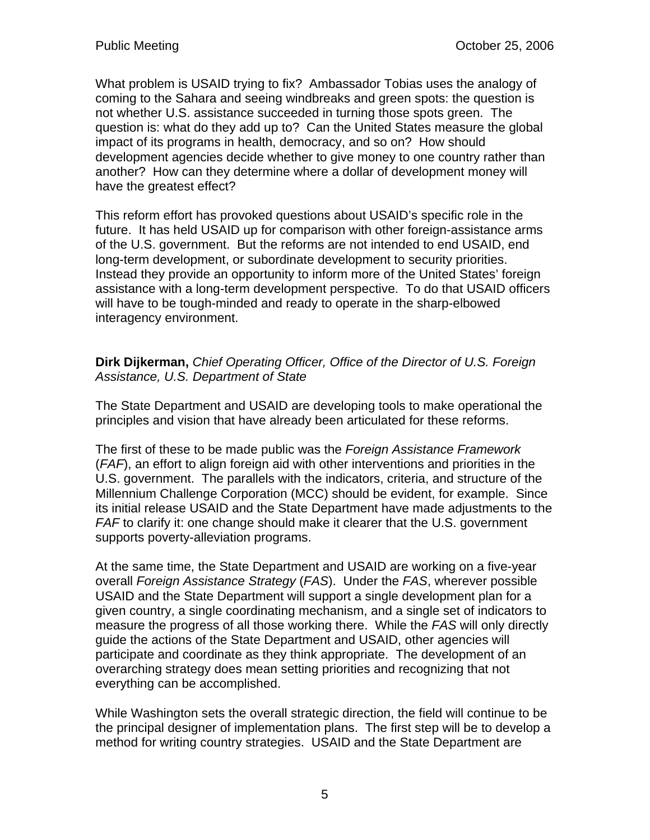What problem is USAID trying to fix? Ambassador Tobias uses the analogy of coming to the Sahara and seeing windbreaks and green spots: the question is not whether U.S. assistance succeeded in turning those spots green. The question is: what do they add up to? Can the United States measure the global impact of its programs in health, democracy, and so on? How should development agencies decide whether to give money to one country rather than another? How can they determine where a dollar of development money will have the greatest effect?

This reform effort has provoked questions about USAID's specific role in the future. It has held USAID up for comparison with other foreign-assistance arms of the U.S. government. But the reforms are not intended to end USAID, end long-term development, or subordinate development to security priorities. Instead they provide an opportunity to inform more of the United States' foreign assistance with a long-term development perspective. To do that USAID officers will have to be tough-minded and ready to operate in the sharp-elbowed interagency environment.

### **Dirk Dijkerman,** *Chief Operating Officer, Office of the Director of U.S. Foreign Assistance, U.S. Department of State*

The State Department and USAID are developing tools to make operational the principles and vision that have already been articulated for these reforms.

The first of these to be made public was the *Foreign Assistance Framework* (*FAF*), an effort to align foreign aid with other interventions and priorities in the U.S. government. The parallels with the indicators, criteria, and structure of the Millennium Challenge Corporation (MCC) should be evident, for example. Since its initial release USAID and the State Department have made adjustments to the *FAF* to clarify it: one change should make it clearer that the U.S. government supports poverty-alleviation programs.

At the same time, the State Department and USAID are working on a five-year overall *Foreign Assistance Strategy* (*FAS*). Under the *FAS*, wherever possible USAID and the State Department will support a single development plan for a given country, a single coordinating mechanism, and a single set of indicators to measure the progress of all those working there. While the *FAS* will only directly guide the actions of the State Department and USAID, other agencies will participate and coordinate as they think appropriate. The development of an overarching strategy does mean setting priorities and recognizing that not everything can be accomplished.

While Washington sets the overall strategic direction, the field will continue to be the principal designer of implementation plans. The first step will be to develop a method for writing country strategies. USAID and the State Department are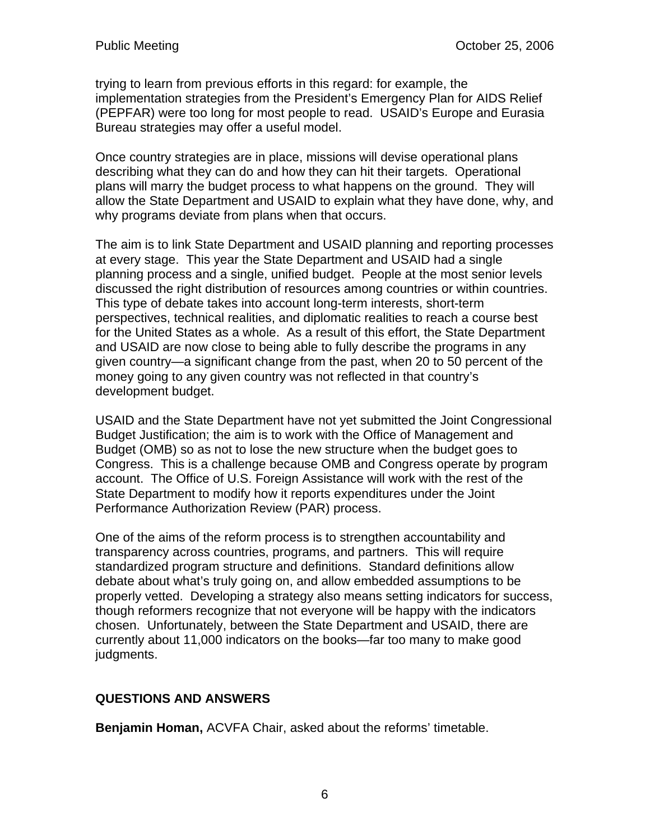trying to learn from previous efforts in this regard: for example, the implementation strategies from the President's Emergency Plan for AIDS Relief (PEPFAR) were too long for most people to read. USAID's Europe and Eurasia Bureau strategies may offer a useful model.

Once country strategies are in place, missions will devise operational plans describing what they can do and how they can hit their targets. Operational plans will marry the budget process to what happens on the ground. They will allow the State Department and USAID to explain what they have done, why, and why programs deviate from plans when that occurs.

The aim is to link State Department and USAID planning and reporting processes at every stage. This year the State Department and USAID had a single planning process and a single, unified budget. People at the most senior levels discussed the right distribution of resources among countries or within countries. This type of debate takes into account long-term interests, short-term perspectives, technical realities, and diplomatic realities to reach a course best for the United States as a whole. As a result of this effort, the State Department and USAID are now close to being able to fully describe the programs in any given country—a significant change from the past, when 20 to 50 percent of the money going to any given country was not reflected in that country's development budget.

USAID and the State Department have not yet submitted the Joint Congressional Budget Justification; the aim is to work with the Office of Management and Budget (OMB) so as not to lose the new structure when the budget goes to Congress. This is a challenge because OMB and Congress operate by program account. The Office of U.S. Foreign Assistance will work with the rest of the State Department to modify how it reports expenditures under the Joint Performance Authorization Review (PAR) process.

One of the aims of the reform process is to strengthen accountability and transparency across countries, programs, and partners. This will require standardized program structure and definitions. Standard definitions allow debate about what's truly going on, and allow embedded assumptions to be properly vetted. Developing a strategy also means setting indicators for success, though reformers recognize that not everyone will be happy with the indicators chosen. Unfortunately, between the State Department and USAID, there are currently about 11,000 indicators on the books—far too many to make good judgments.

# **QUESTIONS AND ANSWERS**

**Benjamin Homan,** ACVFA Chair, asked about the reforms' timetable.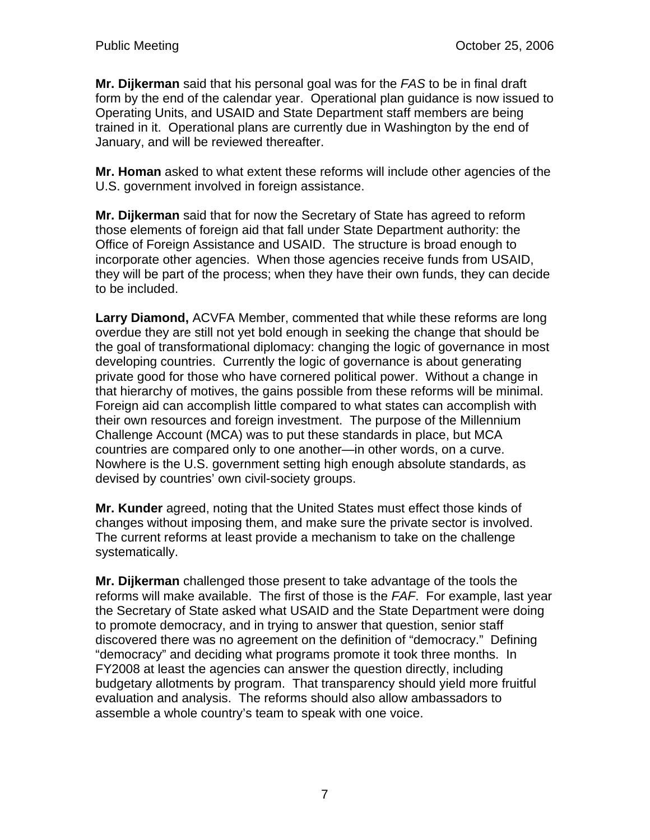**Mr. Dijkerman** said that his personal goal was for the *FAS* to be in final draft form by the end of the calendar year. Operational plan guidance is now issued to Operating Units, and USAID and State Department staff members are being trained in it. Operational plans are currently due in Washington by the end of January, and will be reviewed thereafter.

**Mr. Homan** asked to what extent these reforms will include other agencies of the U.S. government involved in foreign assistance.

**Mr. Dijkerman** said that for now the Secretary of State has agreed to reform those elements of foreign aid that fall under State Department authority: the Office of Foreign Assistance and USAID. The structure is broad enough to incorporate other agencies. When those agencies receive funds from USAID, they will be part of the process; when they have their own funds, they can decide to be included.

**Larry Diamond,** ACVFA Member, commented that while these reforms are long overdue they are still not yet bold enough in seeking the change that should be the goal of transformational diplomacy: changing the logic of governance in most developing countries. Currently the logic of governance is about generating private good for those who have cornered political power. Without a change in that hierarchy of motives, the gains possible from these reforms will be minimal. Foreign aid can accomplish little compared to what states can accomplish with their own resources and foreign investment. The purpose of the Millennium Challenge Account (MCA) was to put these standards in place, but MCA countries are compared only to one another—in other words, on a curve. Nowhere is the U.S. government setting high enough absolute standards, as devised by countries' own civil-society groups.

**Mr. Kunder** agreed, noting that the United States must effect those kinds of changes without imposing them, and make sure the private sector is involved. The current reforms at least provide a mechanism to take on the challenge systematically.

**Mr. Dijkerman** challenged those present to take advantage of the tools the reforms will make available. The first of those is the *FAF*. For example, last year the Secretary of State asked what USAID and the State Department were doing to promote democracy, and in trying to answer that question, senior staff discovered there was no agreement on the definition of "democracy." Defining "democracy" and deciding what programs promote it took three months. In FY2008 at least the agencies can answer the question directly, including budgetary allotments by program. That transparency should yield more fruitful evaluation and analysis. The reforms should also allow ambassadors to assemble a whole country's team to speak with one voice.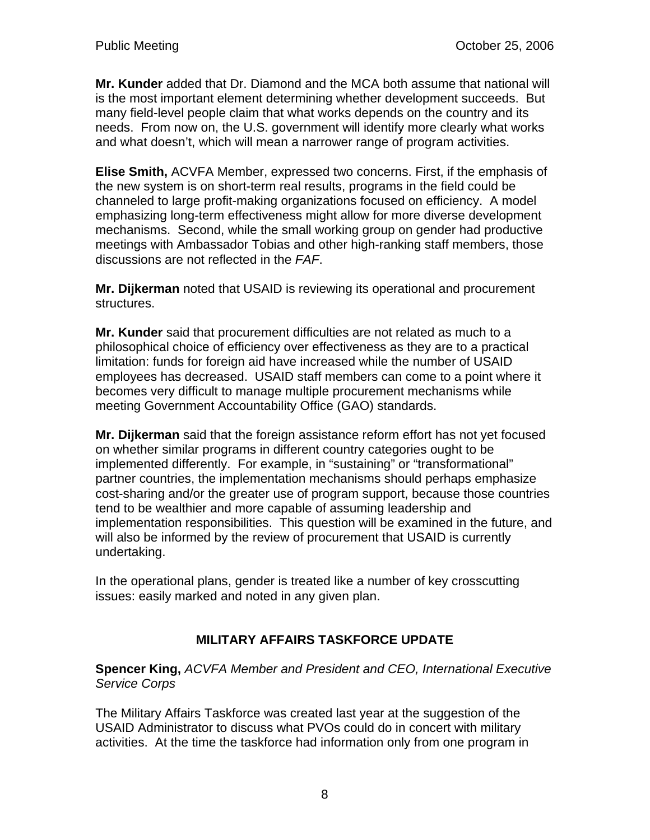**Mr. Kunder** added that Dr. Diamond and the MCA both assume that national will is the most important element determining whether development succeeds. But many field-level people claim that what works depends on the country and its needs. From now on, the U.S. government will identify more clearly what works and what doesn't, which will mean a narrower range of program activities.

**Elise Smith,** ACVFA Member, expressed two concerns. First, if the emphasis of the new system is on short-term real results, programs in the field could be channeled to large profit-making organizations focused on efficiency. A model emphasizing long-term effectiveness might allow for more diverse development mechanisms. Second, while the small working group on gender had productive meetings with Ambassador Tobias and other high-ranking staff members, those discussions are not reflected in the *FAF*.

**Mr. Dijkerman** noted that USAID is reviewing its operational and procurement structures.

**Mr. Kunder** said that procurement difficulties are not related as much to a philosophical choice of efficiency over effectiveness as they are to a practical limitation: funds for foreign aid have increased while the number of USAID employees has decreased. USAID staff members can come to a point where it becomes very difficult to manage multiple procurement mechanisms while meeting Government Accountability Office (GAO) standards.

**Mr. Dijkerman** said that the foreign assistance reform effort has not yet focused on whether similar programs in different country categories ought to be implemented differently. For example, in "sustaining" or "transformational" partner countries, the implementation mechanisms should perhaps emphasize cost-sharing and/or the greater use of program support, because those countries tend to be wealthier and more capable of assuming leadership and implementation responsibilities. This question will be examined in the future, and will also be informed by the review of procurement that USAID is currently undertaking.

In the operational plans, gender is treated like a number of key crosscutting issues: easily marked and noted in any given plan.

# **MILITARY AFFAIRS TASKFORCE UPDATE**

**Spencer King,** *ACVFA Member and President and CEO, International Executive Service Corps* 

The Military Affairs Taskforce was created last year at the suggestion of the USAID Administrator to discuss what PVOs could do in concert with military activities. At the time the taskforce had information only from one program in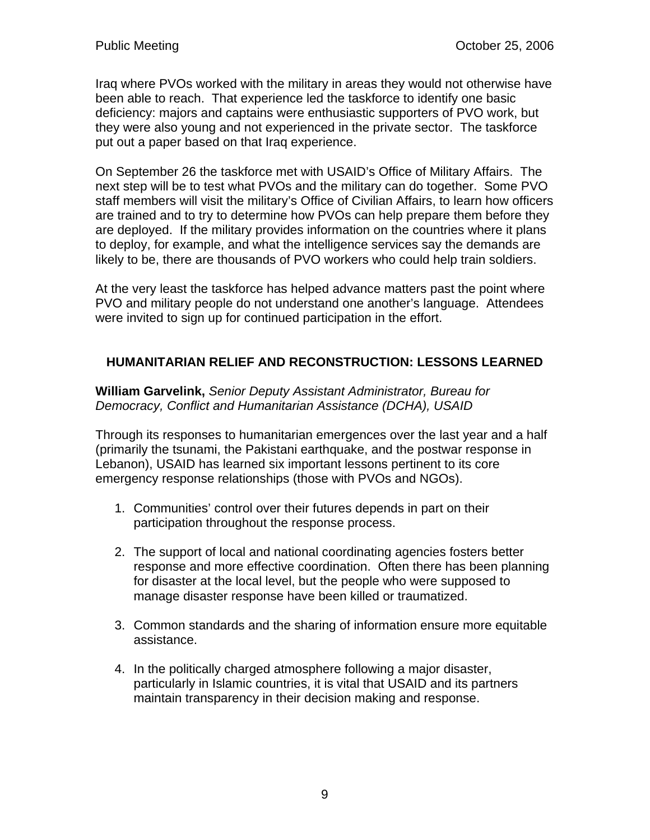Iraq where PVOs worked with the military in areas they would not otherwise have been able to reach. That experience led the taskforce to identify one basic deficiency: majors and captains were enthusiastic supporters of PVO work, but they were also young and not experienced in the private sector. The taskforce put out a paper based on that Iraq experience.

On September 26 the taskforce met with USAID's Office of Military Affairs. The next step will be to test what PVOs and the military can do together. Some PVO staff members will visit the military's Office of Civilian Affairs, to learn how officers are trained and to try to determine how PVOs can help prepare them before they are deployed. If the military provides information on the countries where it plans to deploy, for example, and what the intelligence services say the demands are likely to be, there are thousands of PVO workers who could help train soldiers.

At the very least the taskforce has helped advance matters past the point where PVO and military people do not understand one another's language. Attendees were invited to sign up for continued participation in the effort.

# **HUMANITARIAN RELIEF AND RECONSTRUCTION: LESSONS LEARNED**

**William Garvelink,** *Senior Deputy Assistant Administrator, Bureau for Democracy, Conflict and Humanitarian Assistance (DCHA), USAID* 

Through its responses to humanitarian emergences over the last year and a half (primarily the tsunami, the Pakistani earthquake, and the postwar response in Lebanon), USAID has learned six important lessons pertinent to its core emergency response relationships (those with PVOs and NGOs).

- 1. Communities' control over their futures depends in part on their participation throughout the response process.
- 2. The support of local and national coordinating agencies fosters better response and more effective coordination. Often there has been planning for disaster at the local level, but the people who were supposed to manage disaster response have been killed or traumatized.
- 3. Common standards and the sharing of information ensure more equitable assistance.
- 4. In the politically charged atmosphere following a major disaster, particularly in Islamic countries, it is vital that USAID and its partners maintain transparency in their decision making and response.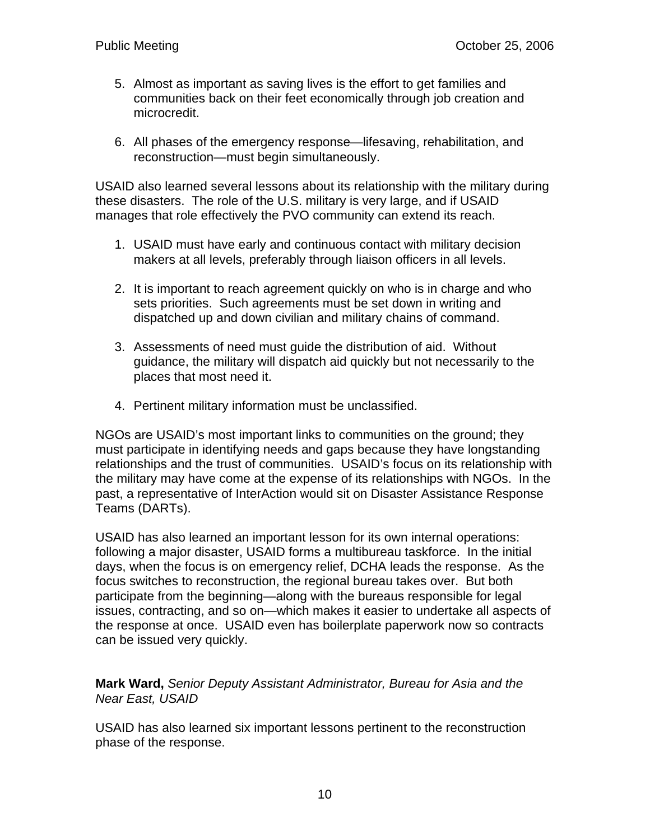- 5. Almost as important as saving lives is the effort to get families and communities back on their feet economically through job creation and microcredit.
- 6. All phases of the emergency response—lifesaving, rehabilitation, and reconstruction—must begin simultaneously.

USAID also learned several lessons about its relationship with the military during these disasters. The role of the U.S. military is very large, and if USAID manages that role effectively the PVO community can extend its reach.

- 1. USAID must have early and continuous contact with military decision makers at all levels, preferably through liaison officers in all levels.
- 2. It is important to reach agreement quickly on who is in charge and who sets priorities. Such agreements must be set down in writing and dispatched up and down civilian and military chains of command.
- 3. Assessments of need must guide the distribution of aid. Without guidance, the military will dispatch aid quickly but not necessarily to the places that most need it.
- 4. Pertinent military information must be unclassified.

NGOs are USAID's most important links to communities on the ground; they must participate in identifying needs and gaps because they have longstanding relationships and the trust of communities. USAID's focus on its relationship with the military may have come at the expense of its relationships with NGOs. In the past, a representative of InterAction would sit on Disaster Assistance Response Teams (DARTs).

USAID has also learned an important lesson for its own internal operations: following a major disaster, USAID forms a multibureau taskforce. In the initial days, when the focus is on emergency relief, DCHA leads the response. As the focus switches to reconstruction, the regional bureau takes over. But both participate from the beginning—along with the bureaus responsible for legal issues, contracting, and so on—which makes it easier to undertake all aspects of the response at once. USAID even has boilerplate paperwork now so contracts can be issued very quickly.

**Mark Ward,** *Senior Deputy Assistant Administrator, Bureau for Asia and the Near East, USAID* 

USAID has also learned six important lessons pertinent to the reconstruction phase of the response.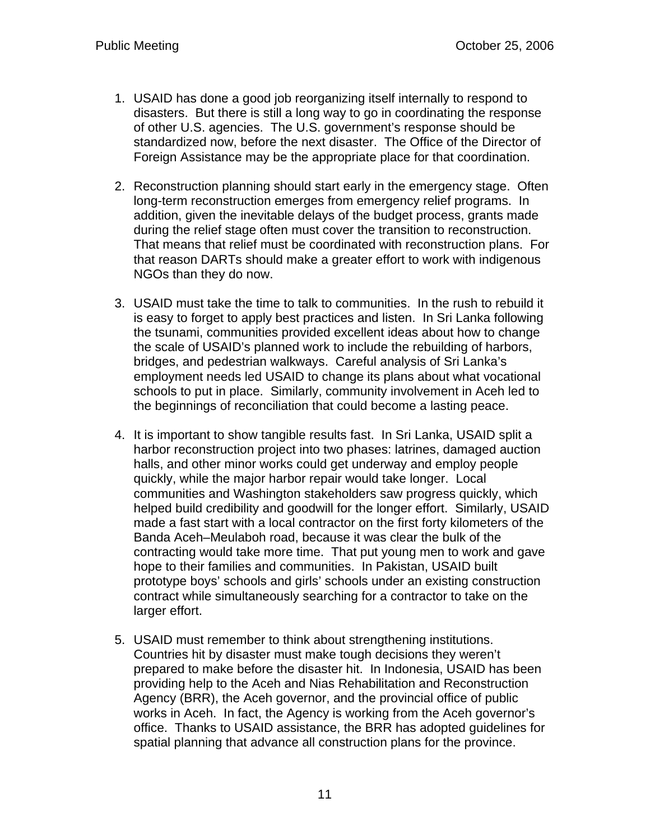- 1. USAID has done a good job reorganizing itself internally to respond to disasters. But there is still a long way to go in coordinating the response of other U.S. agencies. The U.S. government's response should be standardized now, before the next disaster. The Office of the Director of Foreign Assistance may be the appropriate place for that coordination.
- 2. Reconstruction planning should start early in the emergency stage. Often long-term reconstruction emerges from emergency relief programs. In addition, given the inevitable delays of the budget process, grants made during the relief stage often must cover the transition to reconstruction. That means that relief must be coordinated with reconstruction plans. For that reason DARTs should make a greater effort to work with indigenous NGOs than they do now.
- 3. USAID must take the time to talk to communities. In the rush to rebuild it is easy to forget to apply best practices and listen. In Sri Lanka following the tsunami, communities provided excellent ideas about how to change the scale of USAID's planned work to include the rebuilding of harbors, bridges, and pedestrian walkways. Careful analysis of Sri Lanka's employment needs led USAID to change its plans about what vocational schools to put in place. Similarly, community involvement in Aceh led to the beginnings of reconciliation that could become a lasting peace.
- 4. It is important to show tangible results fast. In Sri Lanka, USAID split a harbor reconstruction project into two phases: latrines, damaged auction halls, and other minor works could get underway and employ people quickly, while the major harbor repair would take longer. Local communities and Washington stakeholders saw progress quickly, which helped build credibility and goodwill for the longer effort. Similarly, USAID made a fast start with a local contractor on the first forty kilometers of the Banda Aceh–Meulaboh road, because it was clear the bulk of the contracting would take more time. That put young men to work and gave hope to their families and communities. In Pakistan, USAID built prototype boys' schools and girls' schools under an existing construction contract while simultaneously searching for a contractor to take on the larger effort.
- 5. USAID must remember to think about strengthening institutions. Countries hit by disaster must make tough decisions they weren't prepared to make before the disaster hit. In Indonesia, USAID has been providing help to the Aceh and Nias Rehabilitation and Reconstruction Agency (BRR), the Aceh governor, and the provincial office of public works in Aceh. In fact, the Agency is working from the Aceh governor's office. Thanks to USAID assistance, the BRR has adopted guidelines for spatial planning that advance all construction plans for the province.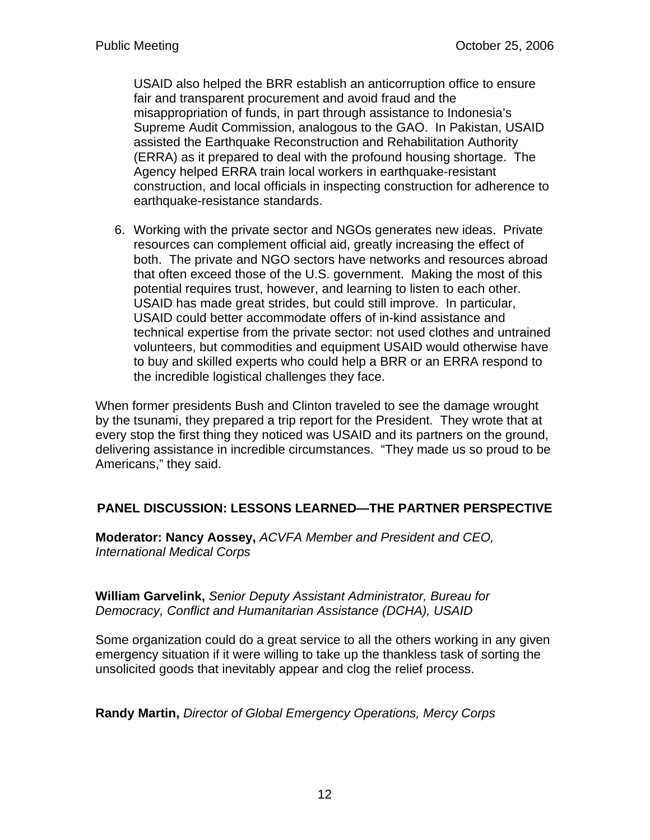USAID also helped the BRR establish an anticorruption office to ensure fair and transparent procurement and avoid fraud and the misappropriation of funds, in part through assistance to Indonesia's Supreme Audit Commission, analogous to the GAO. In Pakistan, USAID assisted the Earthquake Reconstruction and Rehabilitation Authority (ERRA) as it prepared to deal with the profound housing shortage. The Agency helped ERRA train local workers in earthquake-resistant construction, and local officials in inspecting construction for adherence to earthquake-resistance standards.

6. Working with the private sector and NGOs generates new ideas. Private resources can complement official aid, greatly increasing the effect of both. The private and NGO sectors have networks and resources abroad that often exceed those of the U.S. government. Making the most of this potential requires trust, however, and learning to listen to each other. USAID has made great strides, but could still improve. In particular, USAID could better accommodate offers of in-kind assistance and technical expertise from the private sector: not used clothes and untrained volunteers, but commodities and equipment USAID would otherwise have to buy and skilled experts who could help a BRR or an ERRA respond to the incredible logistical challenges they face.

When former presidents Bush and Clinton traveled to see the damage wrought by the tsunami, they prepared a trip report for the President. They wrote that at every stop the first thing they noticed was USAID and its partners on the ground, delivering assistance in incredible circumstances. "They made us so proud to be Americans," they said.

# **PANEL DISCUSSION: LESSONS LEARNED—THE PARTNER PERSPECTIVE**

**Moderator: Nancy Aossey,** *ACVFA Member and President and CEO, International Medical Corps*

**William Garvelink,** *Senior Deputy Assistant Administrator, Bureau for Democracy, Conflict and Humanitarian Assistance (DCHA), USAID*

Some organization could do a great service to all the others working in any given emergency situation if it were willing to take up the thankless task of sorting the unsolicited goods that inevitably appear and clog the relief process.

**Randy Martin,** *Director of Global Emergency Operations, Mercy Corps*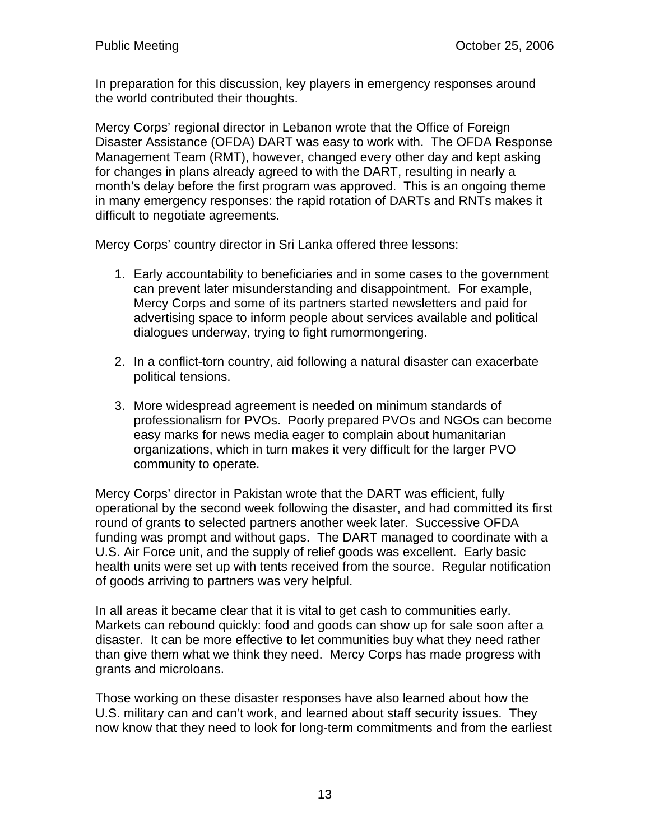In preparation for this discussion, key players in emergency responses around the world contributed their thoughts.

Mercy Corps' regional director in Lebanon wrote that the Office of Foreign Disaster Assistance (OFDA) DART was easy to work with. The OFDA Response Management Team (RMT), however, changed every other day and kept asking for changes in plans already agreed to with the DART, resulting in nearly a month's delay before the first program was approved. This is an ongoing theme in many emergency responses: the rapid rotation of DARTs and RNTs makes it difficult to negotiate agreements.

Mercy Corps' country director in Sri Lanka offered three lessons:

- 1. Early accountability to beneficiaries and in some cases to the government can prevent later misunderstanding and disappointment. For example, Mercy Corps and some of its partners started newsletters and paid for advertising space to inform people about services available and political dialogues underway, trying to fight rumormongering.
- 2. In a conflict-torn country, aid following a natural disaster can exacerbate political tensions.
- 3. More widespread agreement is needed on minimum standards of professionalism for PVOs. Poorly prepared PVOs and NGOs can become easy marks for news media eager to complain about humanitarian organizations, which in turn makes it very difficult for the larger PVO community to operate.

Mercy Corps' director in Pakistan wrote that the DART was efficient, fully operational by the second week following the disaster, and had committed its first round of grants to selected partners another week later. Successive OFDA funding was prompt and without gaps. The DART managed to coordinate with a U.S. Air Force unit, and the supply of relief goods was excellent. Early basic health units were set up with tents received from the source. Regular notification of goods arriving to partners was very helpful.

In all areas it became clear that it is vital to get cash to communities early. Markets can rebound quickly: food and goods can show up for sale soon after a disaster. It can be more effective to let communities buy what they need rather than give them what we think they need. Mercy Corps has made progress with grants and microloans.

Those working on these disaster responses have also learned about how the U.S. military can and can't work, and learned about staff security issues. They now know that they need to look for long-term commitments and from the earliest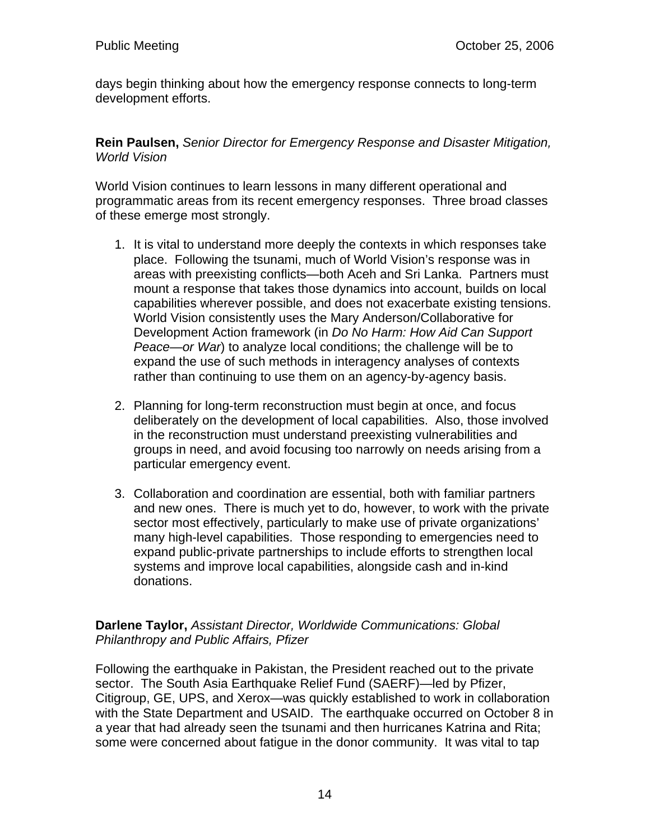days begin thinking about how the emergency response connects to long-term development efforts.

**Rein Paulsen,** *Senior Director for Emergency Response and Disaster Mitigation, World Vision* 

World Vision continues to learn lessons in many different operational and programmatic areas from its recent emergency responses. Three broad classes of these emerge most strongly.

- 1. It is vital to understand more deeply the contexts in which responses take place. Following the tsunami, much of World Vision's response was in areas with preexisting conflicts—both Aceh and Sri Lanka. Partners must mount a response that takes those dynamics into account, builds on local capabilities wherever possible, and does not exacerbate existing tensions. World Vision consistently uses the Mary Anderson/Collaborative for Development Action framework (in *Do No Harm: How Aid Can Support Peace—or War*) to analyze local conditions; the challenge will be to expand the use of such methods in interagency analyses of contexts rather than continuing to use them on an agency-by-agency basis.
- 2. Planning for long-term reconstruction must begin at once, and focus deliberately on the development of local capabilities. Also, those involved in the reconstruction must understand preexisting vulnerabilities and groups in need, and avoid focusing too narrowly on needs arising from a particular emergency event.
- 3. Collaboration and coordination are essential, both with familiar partners and new ones. There is much yet to do, however, to work with the private sector most effectively, particularly to make use of private organizations' many high-level capabilities. Those responding to emergencies need to expand public-private partnerships to include efforts to strengthen local systems and improve local capabilities, alongside cash and in-kind donations.

#### **Darlene Taylor,** *Assistant Director, Worldwide Communications: Global Philanthropy and Public Affairs, Pfizer*

Following the earthquake in Pakistan, the President reached out to the private sector. The South Asia Earthquake Relief Fund (SAERF)—led by Pfizer, Citigroup, GE, UPS, and Xerox—was quickly established to work in collaboration with the State Department and USAID. The earthquake occurred on October 8 in a year that had already seen the tsunami and then hurricanes Katrina and Rita; some were concerned about fatigue in the donor community. It was vital to tap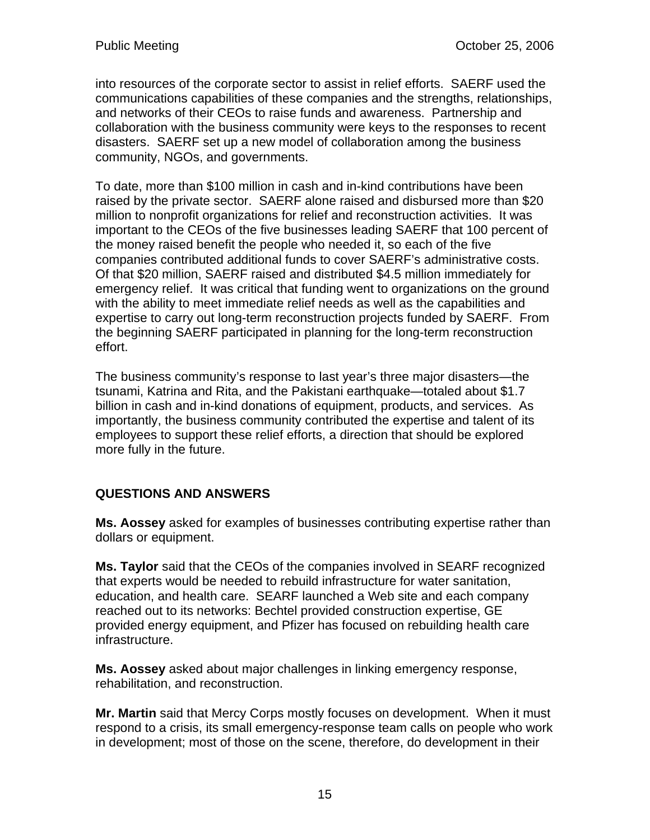into resources of the corporate sector to assist in relief efforts. SAERF used the communications capabilities of these companies and the strengths, relationships, and networks of their CEOs to raise funds and awareness. Partnership and collaboration with the business community were keys to the responses to recent disasters. SAERF set up a new model of collaboration among the business community, NGOs, and governments.

To date, more than \$100 million in cash and in-kind contributions have been raised by the private sector. SAERF alone raised and disbursed more than \$20 million to nonprofit organizations for relief and reconstruction activities. It was important to the CEOs of the five businesses leading SAERF that 100 percent of the money raised benefit the people who needed it, so each of the five companies contributed additional funds to cover SAERF's administrative costs. Of that \$20 million, SAERF raised and distributed \$4.5 million immediately for emergency relief. It was critical that funding went to organizations on the ground with the ability to meet immediate relief needs as well as the capabilities and expertise to carry out long-term reconstruction projects funded by SAERF. From the beginning SAERF participated in planning for the long-term reconstruction effort.

The business community's response to last year's three major disasters—the tsunami, Katrina and Rita, and the Pakistani earthquake—totaled about \$1.7 billion in cash and in-kind donations of equipment, products, and services. As importantly, the business community contributed the expertise and talent of its employees to support these relief efforts, a direction that should be explored more fully in the future.

# **QUESTIONS AND ANSWERS**

**Ms. Aossey** asked for examples of businesses contributing expertise rather than dollars or equipment.

**Ms. Taylor** said that the CEOs of the companies involved in SEARF recognized that experts would be needed to rebuild infrastructure for water sanitation, education, and health care. SEARF launched a Web site and each company reached out to its networks: Bechtel provided construction expertise, GE provided energy equipment, and Pfizer has focused on rebuilding health care infrastructure.

**Ms. Aossey** asked about major challenges in linking emergency response, rehabilitation, and reconstruction.

**Mr. Martin** said that Mercy Corps mostly focuses on development. When it must respond to a crisis, its small emergency-response team calls on people who work in development; most of those on the scene, therefore, do development in their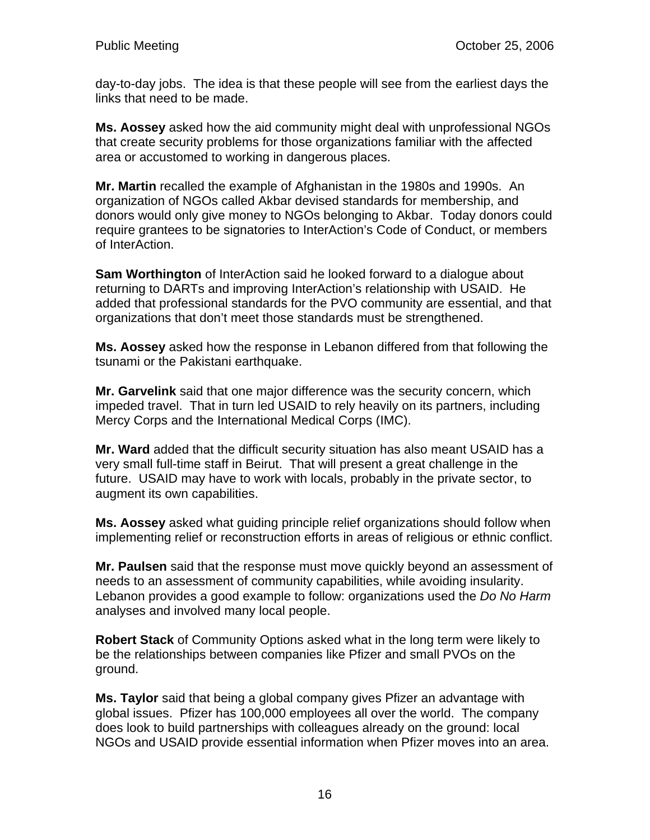day-to-day jobs. The idea is that these people will see from the earliest days the links that need to be made.

**Ms. Aossey** asked how the aid community might deal with unprofessional NGOs that create security problems for those organizations familiar with the affected area or accustomed to working in dangerous places.

**Mr. Martin** recalled the example of Afghanistan in the 1980s and 1990s. An organization of NGOs called Akbar devised standards for membership, and donors would only give money to NGOs belonging to Akbar. Today donors could require grantees to be signatories to InterAction's Code of Conduct, or members of InterAction.

**Sam Worthington** of InterAction said he looked forward to a dialogue about returning to DARTs and improving InterAction's relationship with USAID. He added that professional standards for the PVO community are essential, and that organizations that don't meet those standards must be strengthened.

**Ms. Aossey** asked how the response in Lebanon differed from that following the tsunami or the Pakistani earthquake.

**Mr. Garvelink** said that one major difference was the security concern, which impeded travel. That in turn led USAID to rely heavily on its partners, including Mercy Corps and the International Medical Corps (IMC).

**Mr. Ward** added that the difficult security situation has also meant USAID has a very small full-time staff in Beirut. That will present a great challenge in the future. USAID may have to work with locals, probably in the private sector, to augment its own capabilities.

**Ms. Aossey** asked what guiding principle relief organizations should follow when implementing relief or reconstruction efforts in areas of religious or ethnic conflict.

**Mr. Paulsen** said that the response must move quickly beyond an assessment of needs to an assessment of community capabilities, while avoiding insularity. Lebanon provides a good example to follow: organizations used the *Do No Harm* analyses and involved many local people.

**Robert Stack** of Community Options asked what in the long term were likely to be the relationships between companies like Pfizer and small PVOs on the ground.

**Ms. Taylor** said that being a global company gives Pfizer an advantage with global issues. Pfizer has 100,000 employees all over the world. The company does look to build partnerships with colleagues already on the ground: local NGOs and USAID provide essential information when Pfizer moves into an area.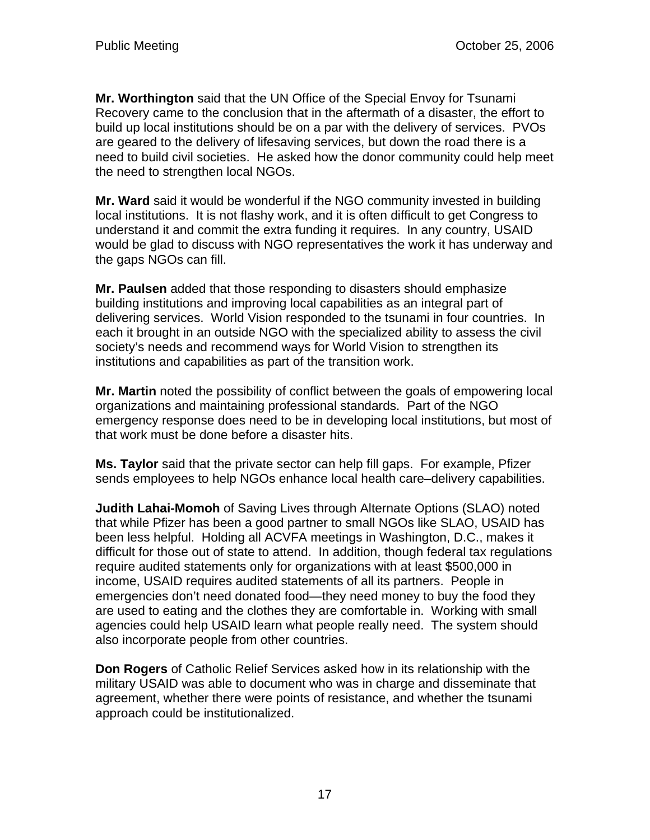**Mr. Worthington** said that the UN Office of the Special Envoy for Tsunami Recovery came to the conclusion that in the aftermath of a disaster, the effort to build up local institutions should be on a par with the delivery of services. PVOs are geared to the delivery of lifesaving services, but down the road there is a need to build civil societies. He asked how the donor community could help meet the need to strengthen local NGOs.

**Mr. Ward** said it would be wonderful if the NGO community invested in building local institutions. It is not flashy work, and it is often difficult to get Congress to understand it and commit the extra funding it requires. In any country, USAID would be glad to discuss with NGO representatives the work it has underway and the gaps NGOs can fill.

**Mr. Paulsen** added that those responding to disasters should emphasize building institutions and improving local capabilities as an integral part of delivering services. World Vision responded to the tsunami in four countries. In each it brought in an outside NGO with the specialized ability to assess the civil society's needs and recommend ways for World Vision to strengthen its institutions and capabilities as part of the transition work.

**Mr. Martin** noted the possibility of conflict between the goals of empowering local organizations and maintaining professional standards. Part of the NGO emergency response does need to be in developing local institutions, but most of that work must be done before a disaster hits.

**Ms. Taylor** said that the private sector can help fill gaps. For example, Pfizer sends employees to help NGOs enhance local health care–delivery capabilities.

**Judith Lahai-Momoh** of Saving Lives through Alternate Options (SLAO) noted that while Pfizer has been a good partner to small NGOs like SLAO, USAID has been less helpful. Holding all ACVFA meetings in Washington, D.C., makes it difficult for those out of state to attend. In addition, though federal tax regulations require audited statements only for organizations with at least \$500,000 in income, USAID requires audited statements of all its partners. People in emergencies don't need donated food—they need money to buy the food they are used to eating and the clothes they are comfortable in. Working with small agencies could help USAID learn what people really need. The system should also incorporate people from other countries.

**Don Rogers** of Catholic Relief Services asked how in its relationship with the military USAID was able to document who was in charge and disseminate that agreement, whether there were points of resistance, and whether the tsunami approach could be institutionalized.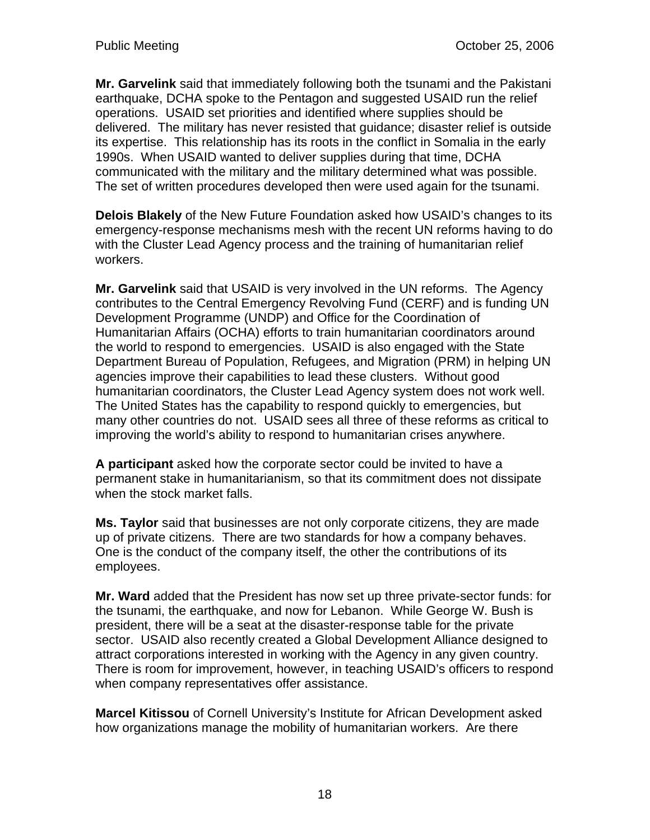**Mr. Garvelink** said that immediately following both the tsunami and the Pakistani earthquake, DCHA spoke to the Pentagon and suggested USAID run the relief operations. USAID set priorities and identified where supplies should be delivered. The military has never resisted that guidance; disaster relief is outside its expertise. This relationship has its roots in the conflict in Somalia in the early 1990s. When USAID wanted to deliver supplies during that time, DCHA communicated with the military and the military determined what was possible. The set of written procedures developed then were used again for the tsunami.

**Delois Blakely** of the New Future Foundation asked how USAID's changes to its emergency-response mechanisms mesh with the recent UN reforms having to do with the Cluster Lead Agency process and the training of humanitarian relief workers.

**Mr. Garvelink** said that USAID is very involved in the UN reforms. The Agency contributes to the Central Emergency Revolving Fund (CERF) and is funding UN Development Programme (UNDP) and Office for the Coordination of Humanitarian Affairs (OCHA) efforts to train humanitarian coordinators around the world to respond to emergencies. USAID is also engaged with the State Department Bureau of Population, Refugees, and Migration (PRM) in helping UN agencies improve their capabilities to lead these clusters. Without good humanitarian coordinators, the Cluster Lead Agency system does not work well. The United States has the capability to respond quickly to emergencies, but many other countries do not. USAID sees all three of these reforms as critical to improving the world's ability to respond to humanitarian crises anywhere.

**A participant** asked how the corporate sector could be invited to have a permanent stake in humanitarianism, so that its commitment does not dissipate when the stock market falls.

**Ms. Taylor** said that businesses are not only corporate citizens, they are made up of private citizens. There are two standards for how a company behaves. One is the conduct of the company itself, the other the contributions of its employees.

**Mr. Ward** added that the President has now set up three private-sector funds: for the tsunami, the earthquake, and now for Lebanon. While George W. Bush is president, there will be a seat at the disaster-response table for the private sector. USAID also recently created a Global Development Alliance designed to attract corporations interested in working with the Agency in any given country. There is room for improvement, however, in teaching USAID's officers to respond when company representatives offer assistance.

**Marcel Kitissou** of Cornell University's Institute for African Development asked how organizations manage the mobility of humanitarian workers. Are there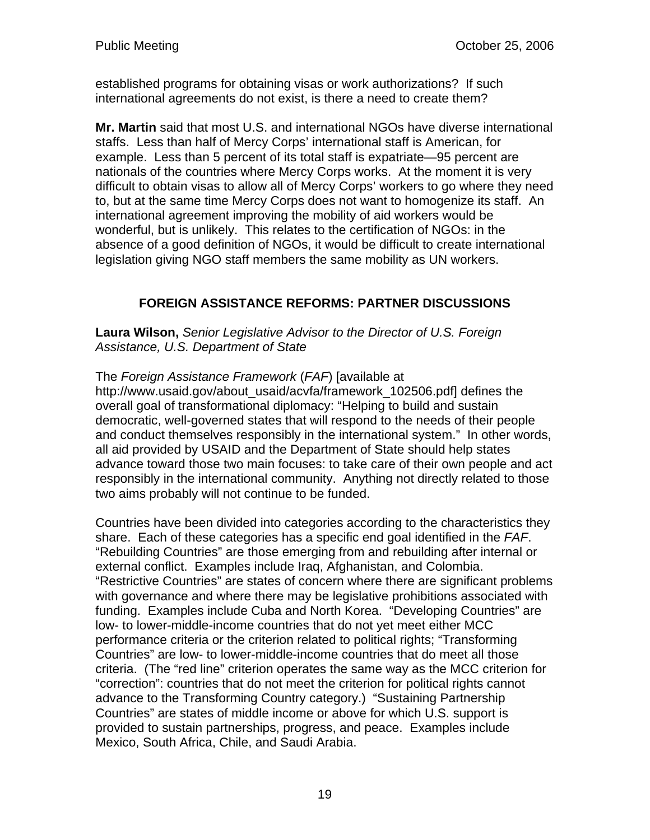established programs for obtaining visas or work authorizations? If such international agreements do not exist, is there a need to create them?

**Mr. Martin** said that most U.S. and international NGOs have diverse international staffs. Less than half of Mercy Corps' international staff is American, for example. Less than 5 percent of its total staff is expatriate—95 percent are nationals of the countries where Mercy Corps works. At the moment it is very difficult to obtain visas to allow all of Mercy Corps' workers to go where they need to, but at the same time Mercy Corps does not want to homogenize its staff. An international agreement improving the mobility of aid workers would be wonderful, but is unlikely. This relates to the certification of NGOs: in the absence of a good definition of NGOs, it would be difficult to create international legislation giving NGO staff members the same mobility as UN workers.

# **FOREIGN ASSISTANCE REFORMS: PARTNER DISCUSSIONS**

**Laura Wilson,** *Senior Legislative Advisor to the Director of U.S. Foreign Assistance, U.S. Department of State*

The *Foreign Assistance Framework* (*FAF*) [available at

http://www.usaid.gov/about\_usaid/acvfa/framework\_102506.pdf] defines the overall goal of transformational diplomacy: "Helping to build and sustain democratic, well-governed states that will respond to the needs of their people and conduct themselves responsibly in the international system." In other words, all aid provided by USAID and the Department of State should help states advance toward those two main focuses: to take care of their own people and act responsibly in the international community. Anything not directly related to those two aims probably will not continue to be funded.

Countries have been divided into categories according to the characteristics they share. Each of these categories has a specific end goal identified in the *FAF*. "Rebuilding Countries" are those emerging from and rebuilding after internal or external conflict. Examples include Iraq, Afghanistan, and Colombia. "Restrictive Countries" are states of concern where there are significant problems with governance and where there may be legislative prohibitions associated with funding. Examples include Cuba and North Korea. "Developing Countries" are low- to lower-middle-income countries that do not yet meet either MCC performance criteria or the criterion related to political rights; "Transforming Countries" are low- to lower-middle-income countries that do meet all those criteria. (The "red line" criterion operates the same way as the MCC criterion for "correction": countries that do not meet the criterion for political rights cannot advance to the Transforming Country category.) "Sustaining Partnership Countries" are states of middle income or above for which U.S. support is provided to sustain partnerships, progress, and peace. Examples include Mexico, South Africa, Chile, and Saudi Arabia.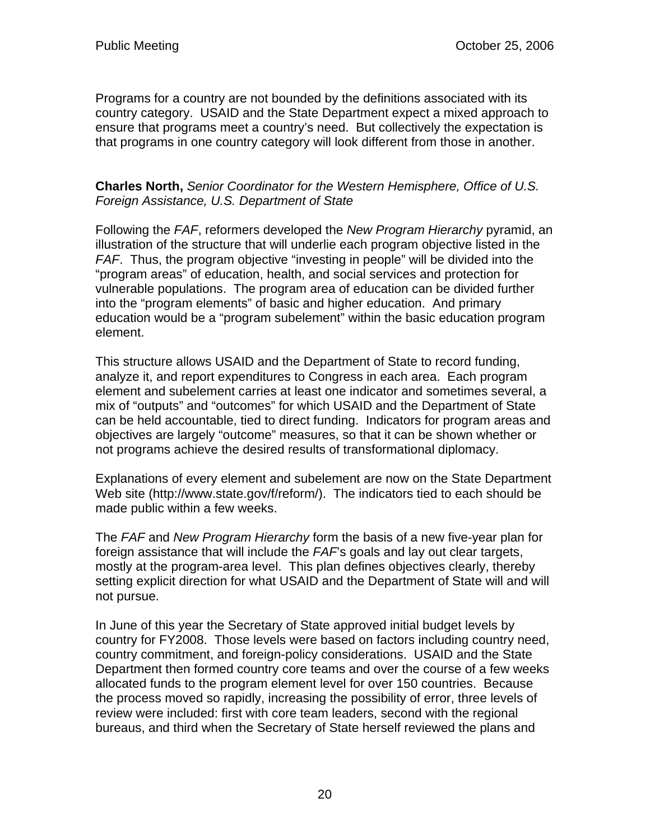Programs for a country are not bounded by the definitions associated with its country category. USAID and the State Department expect a mixed approach to ensure that programs meet a country's need. But collectively the expectation is that programs in one country category will look different from those in another.

#### **Charles North,** *Senior Coordinator for the Western Hemisphere, Office of U.S. Foreign Assistance, U.S. Department of State*

Following the *FAF*, reformers developed the *New Program Hierarchy* pyramid, an illustration of the structure that will underlie each program objective listed in the *FAF*. Thus, the program objective "investing in people" will be divided into the "program areas" of education, health, and social services and protection for vulnerable populations. The program area of education can be divided further into the "program elements" of basic and higher education. And primary education would be a "program subelement" within the basic education program element.

This structure allows USAID and the Department of State to record funding, analyze it, and report expenditures to Congress in each area. Each program element and subelement carries at least one indicator and sometimes several, a mix of "outputs" and "outcomes" for which USAID and the Department of State can be held accountable, tied to direct funding. Indicators for program areas and objectives are largely "outcome" measures, so that it can be shown whether or not programs achieve the desired results of transformational diplomacy.

Explanations of every element and subelement are now on the State Department Web site (http://www.state.gov/f/reform/). The indicators tied to each should be made public within a few weeks.

The *FAF* and *New Program Hierarchy* form the basis of a new five-year plan for foreign assistance that will include the *FAF*'s goals and lay out clear targets, mostly at the program-area level. This plan defines objectives clearly, thereby setting explicit direction for what USAID and the Department of State will and will not pursue.

In June of this year the Secretary of State approved initial budget levels by country for FY2008. Those levels were based on factors including country need, country commitment, and foreign-policy considerations. USAID and the State Department then formed country core teams and over the course of a few weeks allocated funds to the program element level for over 150 countries. Because the process moved so rapidly, increasing the possibility of error, three levels of review were included: first with core team leaders, second with the regional bureaus, and third when the Secretary of State herself reviewed the plans and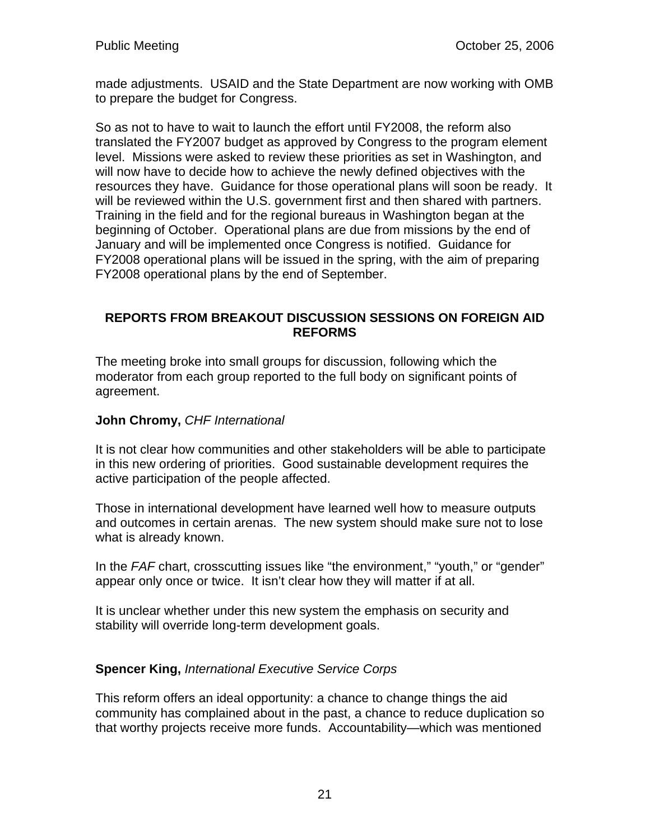made adjustments. USAID and the State Department are now working with OMB to prepare the budget for Congress.

So as not to have to wait to launch the effort until FY2008, the reform also translated the FY2007 budget as approved by Congress to the program element level. Missions were asked to review these priorities as set in Washington, and will now have to decide how to achieve the newly defined objectives with the resources they have. Guidance for those operational plans will soon be ready. It will be reviewed within the U.S. government first and then shared with partners. Training in the field and for the regional bureaus in Washington began at the beginning of October. Operational plans are due from missions by the end of January and will be implemented once Congress is notified. Guidance for FY2008 operational plans will be issued in the spring, with the aim of preparing FY2008 operational plans by the end of September.

### **REPORTS FROM BREAKOUT DISCUSSION SESSIONS ON FOREIGN AID REFORMS**

The meeting broke into small groups for discussion, following which the moderator from each group reported to the full body on significant points of agreement.

# **John Chromy,** *CHF International*

It is not clear how communities and other stakeholders will be able to participate in this new ordering of priorities. Good sustainable development requires the active participation of the people affected.

Those in international development have learned well how to measure outputs and outcomes in certain arenas. The new system should make sure not to lose what is already known.

In the *FAF* chart, crosscutting issues like "the environment," "youth," or "gender" appear only once or twice. It isn't clear how they will matter if at all.

It is unclear whether under this new system the emphasis on security and stability will override long-term development goals.

# **Spencer King,** *International Executive Service Corps*

This reform offers an ideal opportunity: a chance to change things the aid community has complained about in the past, a chance to reduce duplication so that worthy projects receive more funds. Accountability—which was mentioned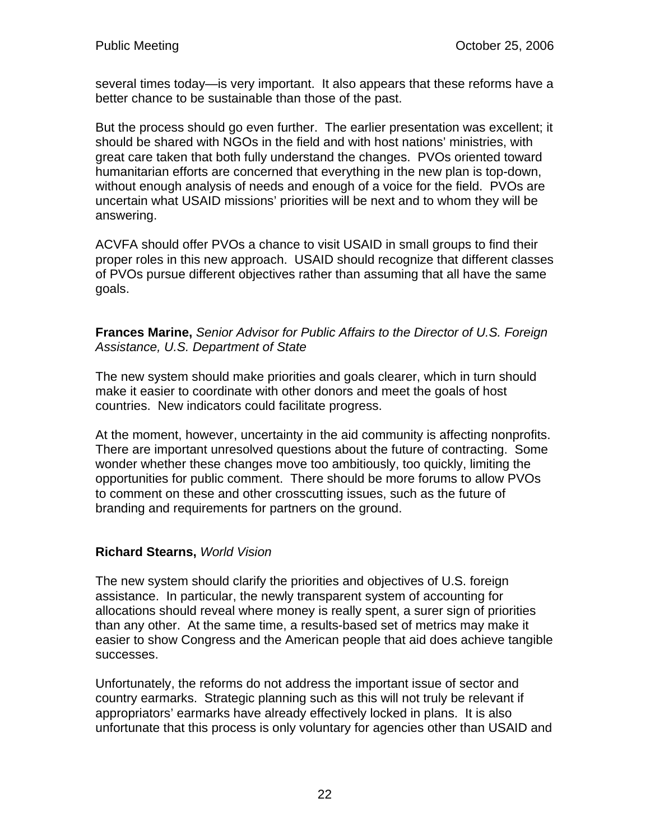several times today—is very important. It also appears that these reforms have a better chance to be sustainable than those of the past.

But the process should go even further. The earlier presentation was excellent; it should be shared with NGOs in the field and with host nations' ministries, with great care taken that both fully understand the changes. PVOs oriented toward humanitarian efforts are concerned that everything in the new plan is top-down, without enough analysis of needs and enough of a voice for the field. PVOs are uncertain what USAID missions' priorities will be next and to whom they will be answering.

ACVFA should offer PVOs a chance to visit USAID in small groups to find their proper roles in this new approach. USAID should recognize that different classes of PVOs pursue different objectives rather than assuming that all have the same goals.

**Frances Marine,** *Senior Advisor for Public Affairs to the Director of U.S. Foreign Assistance, U.S. Department of State*

The new system should make priorities and goals clearer, which in turn should make it easier to coordinate with other donors and meet the goals of host countries. New indicators could facilitate progress.

At the moment, however, uncertainty in the aid community is affecting nonprofits. There are important unresolved questions about the future of contracting. Some wonder whether these changes move too ambitiously, too quickly, limiting the opportunities for public comment. There should be more forums to allow PVOs to comment on these and other crosscutting issues, such as the future of branding and requirements for partners on the ground.

# **Richard Stearns,** *World Vision*

The new system should clarify the priorities and objectives of U.S. foreign assistance. In particular, the newly transparent system of accounting for allocations should reveal where money is really spent, a surer sign of priorities than any other. At the same time, a results-based set of metrics may make it easier to show Congress and the American people that aid does achieve tangible successes.

Unfortunately, the reforms do not address the important issue of sector and country earmarks. Strategic planning such as this will not truly be relevant if appropriators' earmarks have already effectively locked in plans. It is also unfortunate that this process is only voluntary for agencies other than USAID and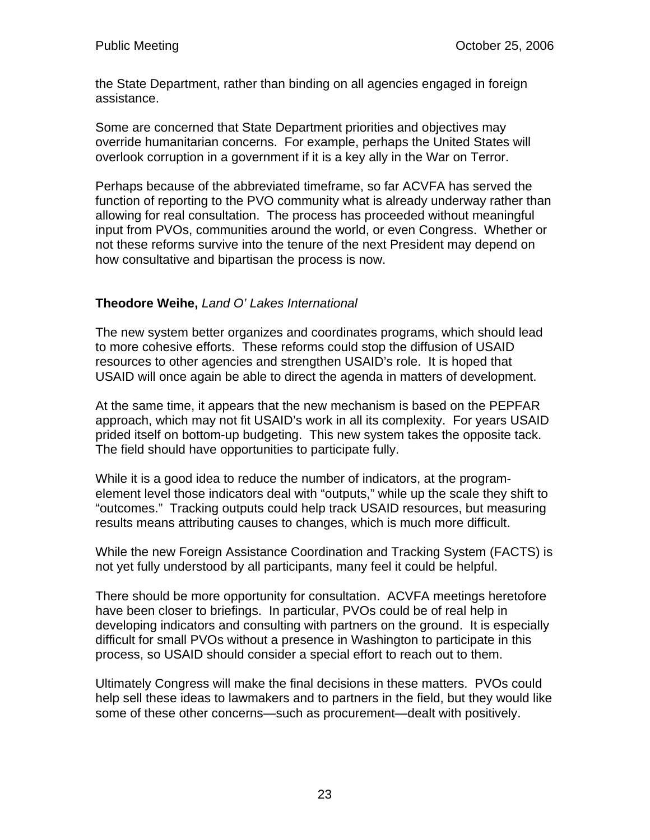the State Department, rather than binding on all agencies engaged in foreign assistance.

Some are concerned that State Department priorities and objectives may override humanitarian concerns. For example, perhaps the United States will overlook corruption in a government if it is a key ally in the War on Terror.

Perhaps because of the abbreviated timeframe, so far ACVFA has served the function of reporting to the PVO community what is already underway rather than allowing for real consultation. The process has proceeded without meaningful input from PVOs, communities around the world, or even Congress. Whether or not these reforms survive into the tenure of the next President may depend on how consultative and bipartisan the process is now.

# **Theodore Weihe,** *Land O' Lakes International*

The new system better organizes and coordinates programs, which should lead to more cohesive efforts. These reforms could stop the diffusion of USAID resources to other agencies and strengthen USAID's role. It is hoped that USAID will once again be able to direct the agenda in matters of development.

At the same time, it appears that the new mechanism is based on the PEPFAR approach, which may not fit USAID's work in all its complexity. For years USAID prided itself on bottom-up budgeting. This new system takes the opposite tack. The field should have opportunities to participate fully.

While it is a good idea to reduce the number of indicators, at the programelement level those indicators deal with "outputs," while up the scale they shift to "outcomes." Tracking outputs could help track USAID resources, but measuring results means attributing causes to changes, which is much more difficult.

While the new Foreign Assistance Coordination and Tracking System (FACTS) is not yet fully understood by all participants, many feel it could be helpful.

There should be more opportunity for consultation. ACVFA meetings heretofore have been closer to briefings. In particular, PVOs could be of real help in developing indicators and consulting with partners on the ground. It is especially difficult for small PVOs without a presence in Washington to participate in this process, so USAID should consider a special effort to reach out to them.

Ultimately Congress will make the final decisions in these matters. PVOs could help sell these ideas to lawmakers and to partners in the field, but they would like some of these other concerns—such as procurement—dealt with positively.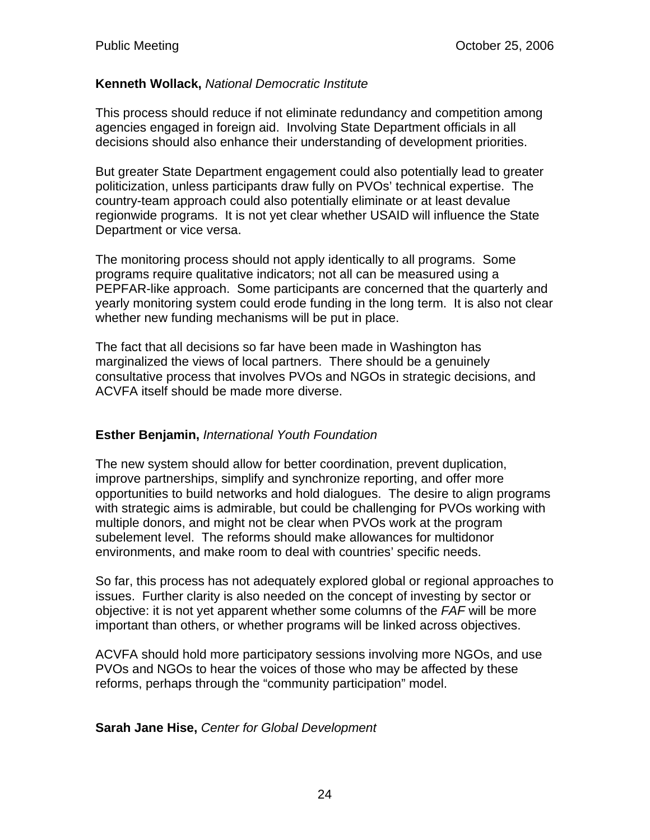### **Kenneth Wollack,** *National Democratic Institute*

This process should reduce if not eliminate redundancy and competition among agencies engaged in foreign aid. Involving State Department officials in all decisions should also enhance their understanding of development priorities.

But greater State Department engagement could also potentially lead to greater politicization, unless participants draw fully on PVOs' technical expertise. The country-team approach could also potentially eliminate or at least devalue regionwide programs. It is not yet clear whether USAID will influence the State Department or vice versa.

The monitoring process should not apply identically to all programs. Some programs require qualitative indicators; not all can be measured using a PEPFAR-like approach. Some participants are concerned that the quarterly and yearly monitoring system could erode funding in the long term. It is also not clear whether new funding mechanisms will be put in place.

The fact that all decisions so far have been made in Washington has marginalized the views of local partners. There should be a genuinely consultative process that involves PVOs and NGOs in strategic decisions, and ACVFA itself should be made more diverse.

# **Esther Benjamin,** *International Youth Foundation*

The new system should allow for better coordination, prevent duplication, improve partnerships, simplify and synchronize reporting, and offer more opportunities to build networks and hold dialogues. The desire to align programs with strategic aims is admirable, but could be challenging for PVOs working with multiple donors, and might not be clear when PVOs work at the program subelement level. The reforms should make allowances for multidonor environments, and make room to deal with countries' specific needs.

So far, this process has not adequately explored global or regional approaches to issues. Further clarity is also needed on the concept of investing by sector or objective: it is not yet apparent whether some columns of the *FAF* will be more important than others, or whether programs will be linked across objectives.

ACVFA should hold more participatory sessions involving more NGOs, and use PVOs and NGOs to hear the voices of those who may be affected by these reforms, perhaps through the "community participation" model.

#### **Sarah Jane Hise,** *Center for Global Development*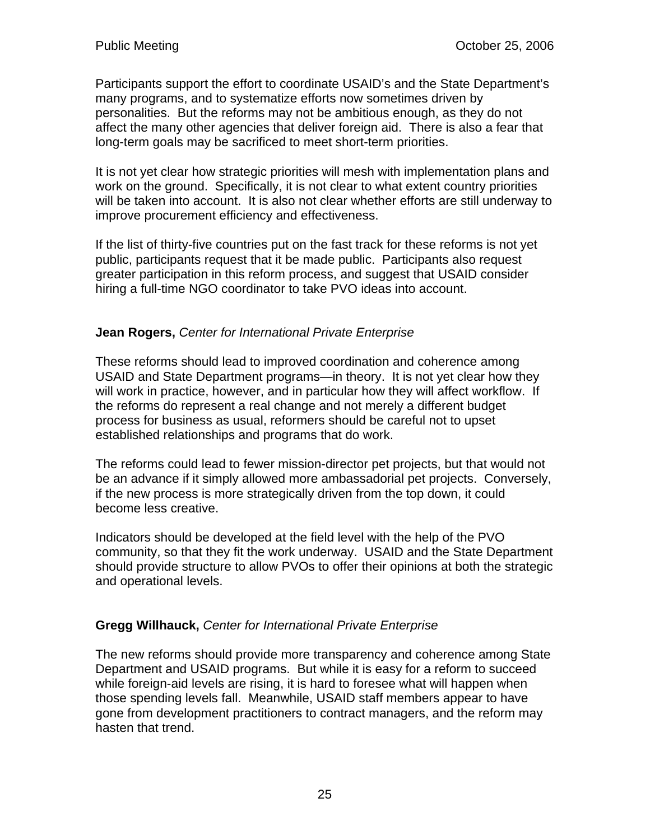Participants support the effort to coordinate USAID's and the State Department's many programs, and to systematize efforts now sometimes driven by personalities. But the reforms may not be ambitious enough, as they do not affect the many other agencies that deliver foreign aid. There is also a fear that long-term goals may be sacrificed to meet short-term priorities.

It is not yet clear how strategic priorities will mesh with implementation plans and work on the ground. Specifically, it is not clear to what extent country priorities will be taken into account. It is also not clear whether efforts are still underway to improve procurement efficiency and effectiveness.

If the list of thirty-five countries put on the fast track for these reforms is not yet public, participants request that it be made public. Participants also request greater participation in this reform process, and suggest that USAID consider hiring a full-time NGO coordinator to take PVO ideas into account.

# **Jean Rogers,** *Center for International Private Enterprise*

These reforms should lead to improved coordination and coherence among USAID and State Department programs—in theory. It is not yet clear how they will work in practice, however, and in particular how they will affect workflow. If the reforms do represent a real change and not merely a different budget process for business as usual, reformers should be careful not to upset established relationships and programs that do work.

The reforms could lead to fewer mission-director pet projects, but that would not be an advance if it simply allowed more ambassadorial pet projects. Conversely, if the new process is more strategically driven from the top down, it could become less creative.

Indicators should be developed at the field level with the help of the PVO community, so that they fit the work underway. USAID and the State Department should provide structure to allow PVOs to offer their opinions at both the strategic and operational levels.

# **Gregg Willhauck,** *Center for International Private Enterprise*

The new reforms should provide more transparency and coherence among State Department and USAID programs. But while it is easy for a reform to succeed while foreign-aid levels are rising, it is hard to foresee what will happen when those spending levels fall. Meanwhile, USAID staff members appear to have gone from development practitioners to contract managers, and the reform may hasten that trend.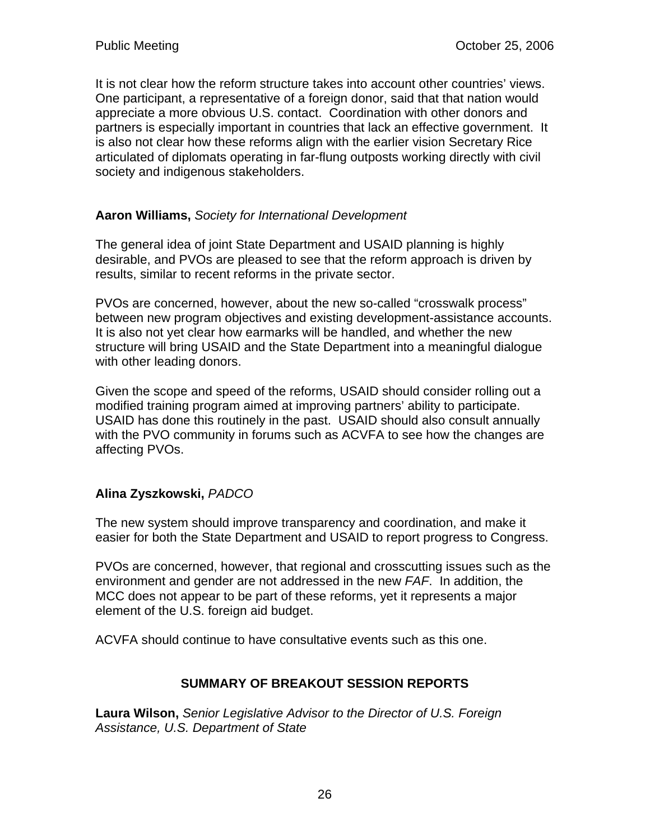It is not clear how the reform structure takes into account other countries' views. One participant, a representative of a foreign donor, said that that nation would appreciate a more obvious U.S. contact. Coordination with other donors and partners is especially important in countries that lack an effective government. It is also not clear how these reforms align with the earlier vision Secretary Rice articulated of diplomats operating in far-flung outposts working directly with civil society and indigenous stakeholders.

# **Aaron Williams,** *Society for International Development*

The general idea of joint State Department and USAID planning is highly desirable, and PVOs are pleased to see that the reform approach is driven by results, similar to recent reforms in the private sector.

PVOs are concerned, however, about the new so-called "crosswalk process" between new program objectives and existing development-assistance accounts. It is also not yet clear how earmarks will be handled, and whether the new structure will bring USAID and the State Department into a meaningful dialogue with other leading donors.

Given the scope and speed of the reforms, USAID should consider rolling out a modified training program aimed at improving partners' ability to participate. USAID has done this routinely in the past. USAID should also consult annually with the PVO community in forums such as ACVFA to see how the changes are affecting PVOs.

# **Alina Zyszkowski,** *PADCO*

The new system should improve transparency and coordination, and make it easier for both the State Department and USAID to report progress to Congress.

PVOs are concerned, however, that regional and crosscutting issues such as the environment and gender are not addressed in the new *FAF*. In addition, the MCC does not appear to be part of these reforms, yet it represents a major element of the U.S. foreign aid budget.

ACVFA should continue to have consultative events such as this one.

# **SUMMARY OF BREAKOUT SESSION REPORTS**

**Laura Wilson,** *Senior Legislative Advisor to the Director of U.S. Foreign Assistance, U.S. Department of State*